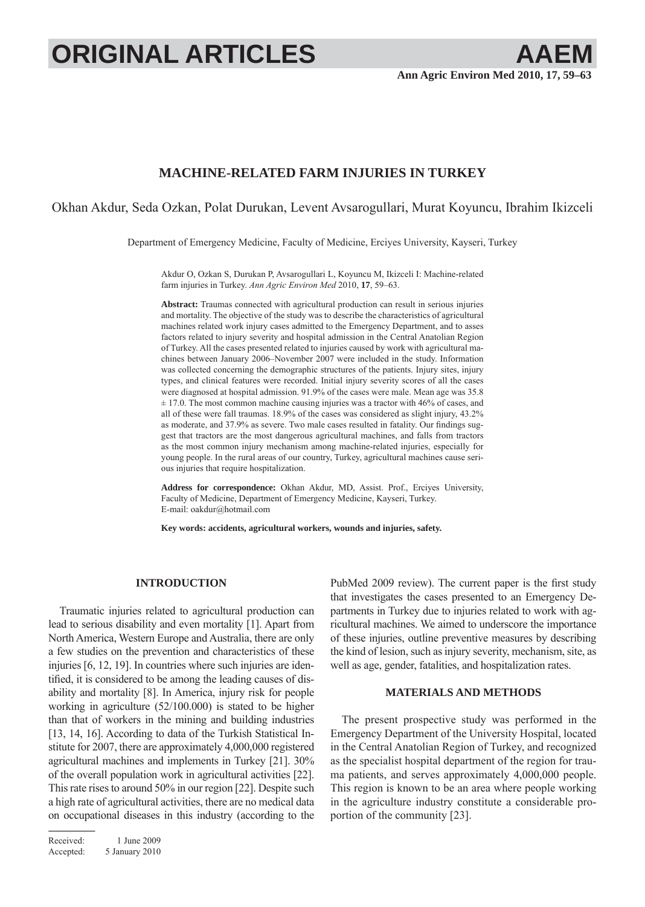# **ORIGINAL ARTICLES AAEM**

# **MACHINE-RELATED FARM INJURIES IN TURKEY**

Okhan Akdur, Seda Ozkan, Polat Durukan, Levent Avsarogullari, Murat Koyuncu, Ibrahim Ikizceli

Department of Emergency Medicine, Faculty of Medicine, Erciyes University, Kayseri, Turkey

Akdur O, Ozkan S, Durukan P, Avsarogullari L, Koyuncu M, Ikizceli I: Machine-related farm injuries in Turkey. *Ann Agric Environ Med* 2010, **17**, 59–63.

**Abstract:** Traumas connected with agricultural production can result in serious injuries and mortality. The objective of the study was to describe the characteristics of agricultural machines related work injury cases admitted to the Emergency Department, and to asses factors related to injury severity and hospital admission in the Central Anatolian Region of Turkey. All the cases presented related to injuries caused by work with agricultural machines between January 2006–November 2007 were included in the study. Information was collected concerning the demographic structures of the patients. Injury sites, injury types, and clinical features were recorded. Initial injury severity scores of all the cases were diagnosed at hospital admission. 91.9% of the cases were male. Mean age was 35.8 ± 17.0. The most common machine causing injuries was a tractor with 46% of cases, and all of these were fall traumas. 18.9% of the cases was considered as slight injury, 43.2% as moderate, and 37.9% as severe. Two male cases resulted in fatality. Our findings suggest that tractors are the most dangerous agricultural machines, and falls from tractors as the most common injury mechanism among machine-related injuries, especially for young people. In the rural areas of our country, Turkey, agricultural machines cause serious injuries that require hospitalization.

**Address for correspondence:** Okhan Akdur, MD, Assist. Prof., Erciyes University, Faculty of Medicine, Department of Emergency Medicine, Kayseri, Turkey. E-mail: oakdur@hotmail.com

**Key words: accidents, agricultural workers, wounds and injuries, safety.**

## **INTRODUCTION**

Traumatic injuries related to agricultural production can lead to serious disability and even mortality [1]. Apart from North America, Western Europe and Australia, there are only a few studies on the prevention and characteristics of these injuries [6, 12, 19]. In countries where such injuries are identified, it is considered to be among the leading causes of disability and mortality [8]. In America, injury risk for people working in agriculture (52/100.000) is stated to be higher than that of workers in the mining and building industries [13, 14, 16]. According to data of the Turkish Statistical Institute for 2007, there are approximately 4,000,000 registered agricultural machines and implements in Turkey [21]. 30% of the overall population work in agricultural activities [22]. This rate rises to around 50% in our region [22]. Despite such a high rate of agricultural activities, there are no medical data on occupational diseases in this industry (according to the PubMed 2009 review). The current paper is the first study that investigates the cases presented to an Emergency Departments in Turkey due to injuries related to work with agricultural machines. We aimed to underscore the importance of these injuries, outline preventive measures by describing the kind of lesion, such as injury severity, mechanism, site, as well as age, gender, fatalities, and hospitalization rates.

### **MATERIALS AND METHODS**

The present prospective study was performed in the Emergency Department of the University Hospital, located in the Central Anatolian Region of Turkey, and recognized as the specialist hospital department of the region for trauma patients, and serves approximately 4,000,000 people. This region is known to be an area where people working in the agriculture industry constitute a considerable proportion of the community [23].

Received: 1 June 2009 Accepted: 5 January 2010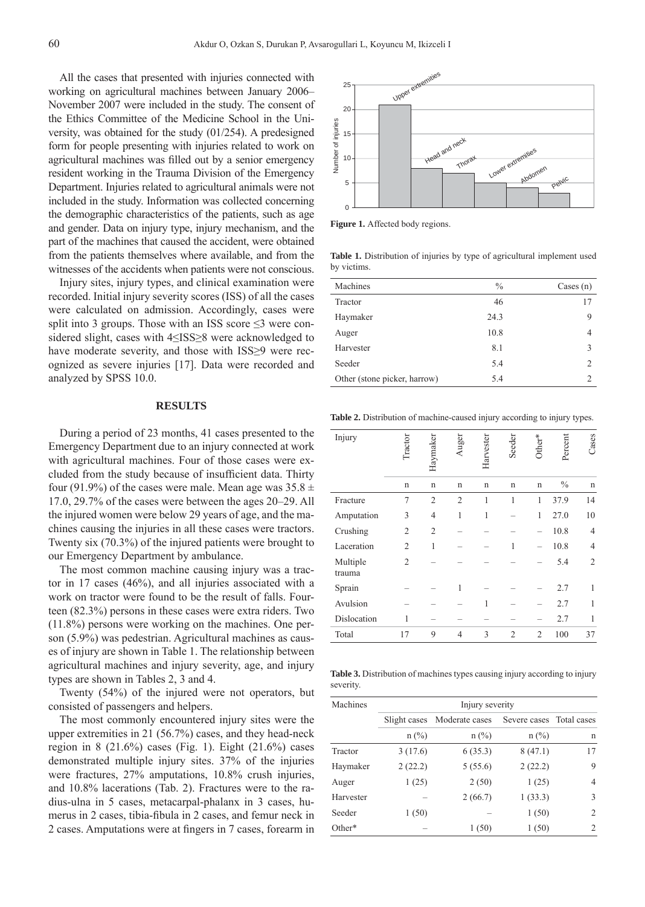All the cases that presented with injuries connected with working on agricultural machines between January 2006– November 2007 were included in the study. The consent of the Ethics Committee of the Medicine School in the University, was obtained for the study (01/254). A predesigned form for people presenting with injuries related to work on agricultural machines was filled out by a senior emergency resident working in the Trauma Division of the Emergency Department. Injuries related to agricultural animals were not included in the study. Information was collected concerning the demographic characteristics of the patients, such as age and gender. Data on injury type, injury mechanism, and the part of the machines that caused the accident, were obtained from the patients themselves where available, and from the witnesses of the accidents when patients were not conscious.

Injury sites, injury types, and clinical examination were recorded. Initial injury severity scores (ISS) of all the cases were calculated on admission. Accordingly, cases were split into 3 groups. Those with an ISS score  $\leq$ 3 were considered slight, cases with 4≤ISS≥8 were acknowledged to have moderate severity, and those with ISS≥9 were recognized as severe injuries [17]. Data were recorded and analyzed by SPSS 10.0.

#### **RESULTS**

During a period of 23 months, 41 cases presented to the Emergency Department due to an injury connected at work with agricultural machines. Four of those cases were excluded from the study because of insufficient data. Thirty four (91.9%) of the cases were male. Mean age was  $35.8 \pm$ 17.0, 29.7% of the cases were between the ages 20–29. All the injured women were below 29 years of age, and the machines causing the injuries in all these cases were tractors. Twenty six (70.3%) of the injured patients were brought to our Emergency Department by ambulance.

The most common machine causing injury was a tractor in 17 cases (46%), and all injuries associated with a work on tractor were found to be the result of falls. Fourteen (82.3%) persons in these cases were extra riders. Two (11.8%) persons were working on the machines. One person (5.9%) was pedestrian. Agricultural machines as causes of injury are shown in Table 1. The relationship between agricultural machines and injury severity, age, and injury types are shown in Tables 2, 3 and 4.

Twenty (54%) of the injured were not operators, but consisted of passengers and helpers.

The most commonly encountered injury sites were the upper extremities in 21 (56.7%) cases, and they head-neck region in 8 (21.6%) cases (Fig. 1). Eight (21.6%) cases demonstrated multiple injury sites. 37% of the injuries were fractures, 27% amputations, 10.8% crush injuries, and 10.8% lacerations (Tab. 2). Fractures were to the radius-ulna in 5 cases, metacarpal-phalanx in 3 cases, humerus in 2 cases, tibia-fibula in 2 cases, and femur neck in 2 cases. Amputations were at fingers in 7 cases, forearm in



Figure 1. Affected body regions.

Table 1. Distribution of injuries by type of agricultural implement used by victims.

| Machines                     | $\frac{0}{0}$ | Cases $(n)$ |
|------------------------------|---------------|-------------|
| Tractor                      | 46            | 17          |
| Haymaker                     | 24.3          | 9           |
| Auger                        | 10.8          | 4           |
| Harvester                    | 8.1           | 3           |
| Seeder                       | 5.4           | 2           |
| Other (stone picker, harrow) | 5.4           |             |
|                              |               |             |

**Table 2.** Distribution of machine-caused injury according to injury types.

| Number of injuries<br>15 |                                                                            |   |                |                 |                   |              |         |                         |
|--------------------------|----------------------------------------------------------------------------|---|----------------|-----------------|-------------------|--------------|---------|-------------------------|
|                          |                                                                            |   | Head and neck  |                 |                   |              |         |                         |
| 10                       |                                                                            |   | Thorat         |                 | Lower extremities |              |         |                         |
| 5                        |                                                                            |   |                |                 |                   | Abdomen      | Pelvic  |                         |
|                          |                                                                            |   |                |                 |                   |              |         |                         |
| 0                        |                                                                            |   |                |                 |                   |              |         |                         |
|                          | Figure 1. Affected body regions.                                           |   |                |                 |                   |              |         |                         |
| by victims.              | Table 1. Distribution of injuries by type of agricultural implement used   |   |                |                 |                   |              |         |                         |
| Machines                 |                                                                            |   |                |                 | $\frac{0}{0}$     |              |         | Cases $(n)$             |
| Tractor                  |                                                                            |   |                |                 | 46                |              |         | 17                      |
| Haymaker                 |                                                                            |   |                | 24.3            |                   |              |         | 9                       |
| Auger                    |                                                                            |   |                | 10.8            |                   |              |         | 4                       |
| Harvester                |                                                                            |   |                |                 | 8.1               |              |         | 3                       |
| Seeder                   |                                                                            |   |                |                 | 5.4               |              |         | 2                       |
|                          | Other (stone picker, harrow)                                               |   |                |                 | 5.4               |              |         | 2                       |
|                          | Table 2. Distribution of machine-caused injury according to injury types.  |   |                |                 |                   |              |         |                         |
| Injury                   |                                                                            |   |                |                 |                   |              |         |                         |
|                          | Fractor                                                                    |   | uger           | $H$ arvester    | Seeder            |              | Percent | <b>Cases</b>            |
|                          |                                                                            |   |                |                 |                   |              |         |                         |
|                          | n                                                                          | n | n              | n               | n                 | n            | $\%$    | n                       |
| Fracture                 | 7                                                                          | 2 | 2              | 1               | 1                 | 1            | 37.9    | 14                      |
| Amputation               | 3                                                                          | 4 | 1              | 1               |                   | 1            | 27.0    | 10                      |
| Crushing                 | 2                                                                          | 2 |                |                 |                   |              | 10.8    | $\overline{4}$          |
| Laceration               | 2                                                                          | 1 |                |                 | 1                 |              | 10.8    | 4                       |
| Multiple<br>trauma       | 2                                                                          |   |                |                 |                   |              | 5.4     | 2                       |
| Sprain                   |                                                                            |   | 1              |                 |                   |              | 2.7     | 1                       |
| Avulsion                 |                                                                            |   |                | 1               |                   |              | 2.7     | 1                       |
| Dislocation              | 1                                                                          |   |                |                 |                   |              | 2.7     | 1                       |
| Total                    | 17                                                                         | 9 | 4              | 3               | 2                 | 2            | 100     | 37                      |
| severity.                | Table 3. Distribution of machines types causing injury according to injury |   |                |                 |                   |              |         |                         |
| Machines                 |                                                                            |   |                | Injury severity |                   |              |         |                         |
|                          | Slight cases                                                               |   | Moderate cases |                 |                   | Severe cases |         | Total cases             |
|                          | $n$ (%)                                                                    |   |                | $n$ (%)         |                   | $n(\%)$      |         | n                       |
| Tractor                  | 3(17.6)                                                                    |   | 6(35.3)        |                 |                   | 8(47.1)      |         | 17                      |
| Haymaker                 | 2(22.2)                                                                    |   | 5(55.6)        |                 |                   | 2(22.2)      |         | 9                       |
| Auger                    | 1(25)                                                                      |   |                | 2(50)           |                   | 1(25)        |         | $\overline{4}$          |
| Harvester                |                                                                            |   | 2(66.7)        |                 |                   | 1(33.3)      |         | 3                       |
| Seeder                   | 1(50)                                                                      |   |                |                 |                   | 1(50)        |         | $\overline{\mathbf{c}}$ |
| Other*                   |                                                                            |   |                | 1(50)           |                   | 1(50)        |         | $\overline{c}$          |

**Table 3.** Distribution of machines types causing injury according to injury severity.

| Machines  | Injury severity |                |                          |    |  |  |  |  |
|-----------|-----------------|----------------|--------------------------|----|--|--|--|--|
|           | Slight cases    | Moderate cases | Severe cases Total cases |    |  |  |  |  |
|           | $n$ (%)         | $n$ (%)        | $n$ (%)                  | n  |  |  |  |  |
| Tractor   | 3(17.6)         | 6(35.3)        | 8(47.1)                  | 17 |  |  |  |  |
| Haymaker  | 2(22.2)         | 5(55.6)        | 2(22.2)                  | 9  |  |  |  |  |
| Auger     | 1(25)           | 2(50)          | 1(25)                    | 4  |  |  |  |  |
| Harvester |                 | 2(66.7)        | 1(33.3)                  | 3  |  |  |  |  |
| Seeder    | 1(50)           |                | 1(50)                    | 2  |  |  |  |  |
| $Other*$  |                 | 1(50)          | 1(50)                    | 2  |  |  |  |  |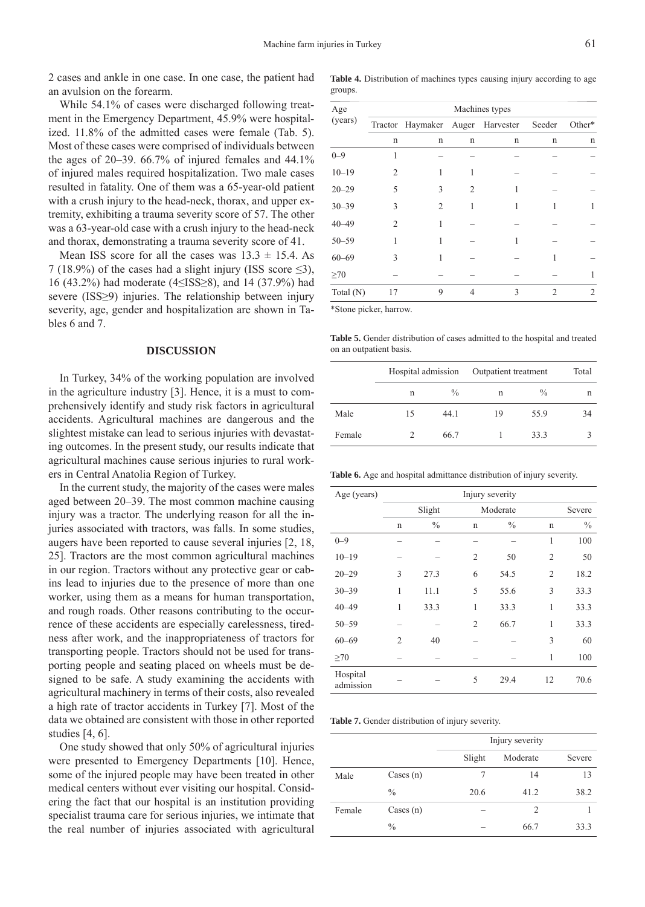2 cases and ankle in one case. In one case, the patient had an avulsion on the forearm.

While 54.1% of cases were discharged following treatment in the Emergency Department, 45.9% were hospitalized. 11.8% of the admitted cases were female (Tab. 5). Most of these cases were comprised of individuals between the ages of  $20-39$ . 66.7% of injured females and  $44.1\%$ of injured males required hospitalization. Two male cases resulted in fatality. One of them was a 65-year-old patient with a crush injury to the head-neck, thorax, and upper extremity, exhibiting a trauma severity score of 57. The other was a 63-year-old case with a crush injury to the head-neck and thorax, demonstrating a trauma severity score of 41.

Mean ISS score for all the cases was  $13.3 \pm 15.4$ . As 7 (18.9%) of the cases had a slight injury (ISS score  $\leq 3$ ), 16 (43.2%) had moderate (4≤ISS≥8), and 14 (37.9%) had severe (ISS≥9) injuries. The relationship between injury severity, age, gender and hospitalization are shown in Tables 6 and 7.

#### **DISCUSSION**

In Turkey, 34% of the working population are involved in the agriculture industry [3]. Hence, it is a must to comprehensively identify and study risk factors in agricultural accidents. Agricultural machines are dangerous and the slightest mistake can lead to serious injuries with devastating outcomes. In the present study, our results indicate that agricultural machines cause serious injuries to rural workers in Central Anatolia Region of Turkey.

In the current study, the majority of the cases were males aged between 20–39. The most common machine causing injury was a tractor. The underlying reason for all the injuries associated with tractors, was falls. In some studies, augers have been reported to cause several injuries [2, 18, 25]. Tractors are the most common agricultural machines in our region. Tractors without any protective gear or cabins lead to injuries due to the presence of more than one worker, using them as a means for human transportation, and rough roads. Other reasons contributing to the occurrence of these accidents are especially carelessness, tiredness after work, and the inappropriateness of tractors for transporting people. Tractors should not be used for transporting people and seating placed on wheels must be designed to be safe. A study examining the accidents with agricultural machinery in terms of their costs, also revealed a high rate of tractor accidents in Turkey [7]. Most of the data we obtained are consistent with those in other reported studies [4, 6].

One study showed that only 50% of agricultural injuries were presented to Emergency Departments [10]. Hence, some of the injured people may have been treated in other medical centers without ever visiting our hospital. Considering the fact that our hospital is an institution providing specialist trauma care for serious injuries, we intimate that the real number of injuries associated with agricultural

|         | <b>Table 4.</b> Distribution of machines types causing injury according to age |  |  |  |
|---------|--------------------------------------------------------------------------------|--|--|--|
| groups. |                                                                                |  |  |  |

| Age       | Machines types |                          |                |   |                |        |  |  |  |
|-----------|----------------|--------------------------|----------------|---|----------------|--------|--|--|--|
| (years)   | Tractor        | Haymaker Auger Harvester |                |   | Seeder         | Other* |  |  |  |
|           | n              | n                        | n              | n | n              | n      |  |  |  |
| $0 - 9$   |                |                          |                |   |                |        |  |  |  |
| $10 - 19$ | 2              |                          |                |   |                |        |  |  |  |
| $20 - 29$ | 5              | 3                        | $\overline{2}$ |   |                |        |  |  |  |
| $30 - 39$ | 3              | $\overline{2}$           | 1              |   |                | 1      |  |  |  |
| $40 - 49$ | 2              |                          |                |   |                |        |  |  |  |
| $50 - 59$ | 1              |                          |                |   |                |        |  |  |  |
| $60 - 69$ | 3              |                          |                |   |                |        |  |  |  |
| $\geq 70$ |                |                          |                |   |                | 1      |  |  |  |
| Total (N) | 17             | 9                        | 4              | 3 | $\overline{c}$ | 2      |  |  |  |

\*Stone picker, harrow.

**Table 5.** Gender distribution of cases admitted to the hospital and treated on an outpatient basis.

|        | Hospital admission |      | Outpatient treatment | Total         |    |
|--------|--------------------|------|----------------------|---------------|----|
|        | n                  | $\%$ | n                    | $\frac{0}{0}$ | n  |
| Male   | 15                 | 44.1 | 19                   | 55.9          | 34 |
| Female |                    | 66.7 |                      | 33.3          |    |

**Table 6.** Age and hospital admittance distribution of injury severity.

| Age (years)           |                |               |                |               |                |        |
|-----------------------|----------------|---------------|----------------|---------------|----------------|--------|
|                       |                | Slight        |                | Moderate      |                | Severe |
|                       | $\mathbf n$    | $\frac{0}{0}$ | $\mathbf n$    | $\frac{0}{0}$ | n              | $\%$   |
| $0 - 9$               |                |               |                |               | 1              | 100    |
| $10 - 19$             |                |               | 2              | 50            | $\overline{2}$ | 50     |
| $20 - 29$             | 3              | 27.3          | 6              | 54.5          | $\overline{2}$ | 18.2   |
| $30 - 39$             | 1              | 11.1          | 5              | 55.6          | 3              | 33.3   |
| $40 - 49$             | 1              | 33.3          | 1              | 33.3          | 1              | 33.3   |
| $50 - 59$             |                |               | $\overline{c}$ | 66.7          | 1              | 33.3   |
| $60 - 69$             | $\overline{c}$ | 40            |                |               | 3              | 60     |
| $\geq 70$             |                |               |                |               | 1              | 100    |
| Hospital<br>admission |                |               | 5              | 29.4          | 12             | 70.6   |

**Table 7.** Gender distribution of injury severity.

|        |               | Injury severity |          |        |  |  |
|--------|---------------|-----------------|----------|--------|--|--|
|        |               | Slight          | Moderate | Severe |  |  |
| Male   | Cases $(n)$   |                 | 14       | 13     |  |  |
|        | $\frac{0}{0}$ | 20.6            | 41.2     | 38.2   |  |  |
| Female | Cases $(n)$   |                 | 2        |        |  |  |
|        | $\frac{0}{0}$ |                 | 66.7     | 33.3   |  |  |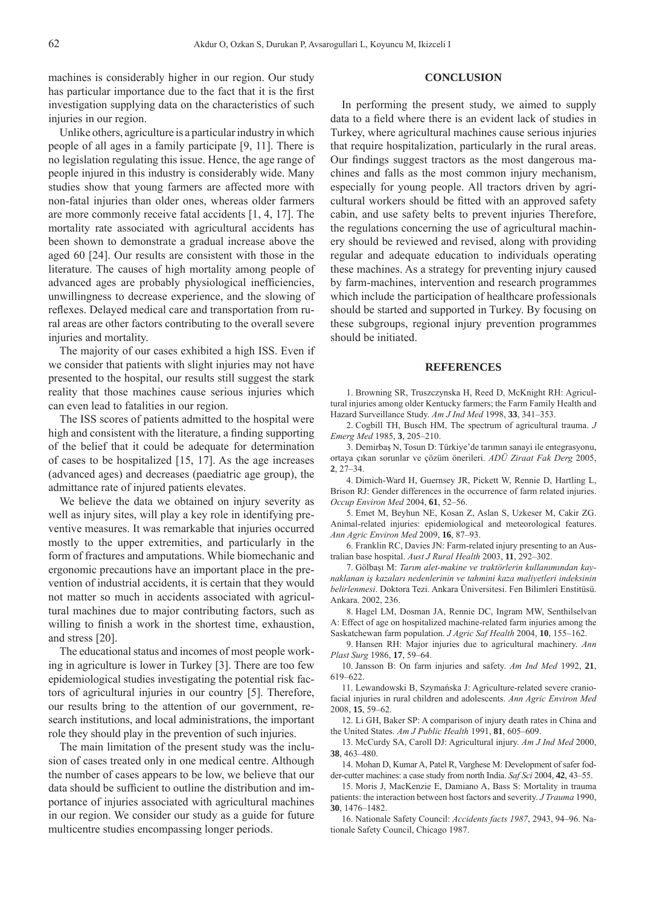machines is considerably higher in our region. Our study has particular importance due to the fact that it is the first investigation supplying data on the characteristics of such injuries in our region.

Unlike others, agriculture is a particular industry in which people of all ages in a family participate [9, 11]. There is no legislation regulating this issue. Hence, the age range of people injured in this industry is considerably wide. Many studies show that young farmers are affected more with non-fatal injuries than older ones, whereas older farmers are more commonly receive fatal accidents [1, 4, 17]. The mortality rate associated with agricultural accidents has been shown to demonstrate a gradual increase above the aged 60 [24]. Our results are consistent with those in the literature. The causes of high mortality among people of advanced ages are probably physiological inefficiencies, unwillingness to decrease experience, and the slowing of reflexes. Delayed medical care and transportation from rural areas are other factors contributing to the overall severe injuries and mortality.

The majority of our cases exhibited a high ISS. Even if we consider that patients with slight injuries may not have presented to the hospital, our results still suggest the stark reality that those machines cause serious injuries which can even lead to fatalities in our region.

The ISS scores of patients admitted to the hospital were high and consistent with the literature, a finding supporting of the belief that it could be adequate for determination of cases to be hospitalized [15, 17]. As the age increases (advanced ages) and decreases (paediatric age group), the admittance rate of injured patients elevates.

We believe the data we obtained on injury severity as well as injury sites, will play a key role in identifying preventive measures. It was remarkable that injuries occurred mostly to the upper extremities, and particularly in the form of fractures and amputations. While biomechanic and ergonomic precautions have an important place in the prevention of industrial accidents, it is certain that they would not matter so much in accidents associated with agricultural machines due to major contributing factors, such as willing to finish a work in the shortest time, exhaustion, and stress [20].

The educational status and incomes of most people working in agriculture is lower in Turkey [3]. There are too few epidemiological studies investigating the potential risk factors of agricultural injuries in our country [5]. Therefore, our results bring to the attention of our government, research institutions, and local administrations, the important role they should play in the prevention of such injuries.

The main limitation of the present study was the inclusion of cases treated only in one medical centre. Although the number of cases appears to be low, we believe that our data should be sufficient to outline the distribution and importance of injuries associated with agricultural machines in our region. We consider our study as a guide for future multicentre studies encompassing longer periods.

#### **CONCLUSION**

In performing the present study, we aimed to supply data to a field where there is an evident lack of studies in Turkey, where agricultural machines cause serious injuries that require hospitalization, particularly in the rural areas. Our findings suggest tractors as the most dangerous machines and falls as the most common injury mechanism, especially for young people. All tractors driven by agricultural workers should be fitted with an approved safety cabin, and use safety belts to prevent injuries Therefore, the regulations concerning the use of agricultural machinery should be reviewed and revised, along with providing regular and adequate education to individuals operating these machines. As a strategy for preventing injury caused by farm-machines, intervention and research programmes which include the participation of healthcare professionals should be started and supported in Turkey. By focusing on these subgroups, regional injury prevention programmes should be initiated.

#### **REFERENCES**

1. Browning SR, Truszczynska H, Reed D, McKnight RH: Agricultural injuries among older Kentucky farmers; the Farm Family Health and Hazard Surveillance Study. *Am J Ind Med* 1998, **33**, 341–353.

2. Cogbill TH, Busch HM, The spectrum of agricultural trauma. *J Emerg Med* 1985, **3**, 205–210.

Demirbaş N, Tosun D: Türkiye'de tarımın sanayi ile entegrasyonu, 3. ortaya çıkan sorunlar ve çözüm önerileri. *ADÜ Ziraat Fak Derg* 2005, **2**, 27–34.

Dimich-Ward H, Guernsey JR, Pickett W, Rennie D, Hartling L, 4. Brison RJ: Gender differences in the occurrence of farm related injuries. *Occup Environ Med* 2004, **61**, 52–56.

5. Emet M, Beyhun NE, Kosan Z, Aslan S, Uzkeser M, Cakir ZG. Animal-related injuries: epidemiological and meteorological features. *Ann Agric Environ Med* 2009, **16**, 87–93.

6. Franklin RC, Davies JN: Farm-related injury presenting to an Australian base hospital. *Aust J Rural Health* 2003, **11**, 292–302.

Gölbaşı M: *Tarım alet-makine ve traktörlerin kullanımından kay-*7. *naklanan iş kazaları nedenlerinin ve tahmini kaza maliyetleri indeksinin belirlenmesi*. Doktora Tezi. Ankara Üniversitesi. Fen Bilimleri Enstitüsü. Ankara. 2002, 236.

8. Hagel LM, Dosman JA, Rennie DC, Ingram MW, Senthilselvan A: Effect of age on hospitalized machine-related farm injuries among the Saskatchewan farm population. *J Agric Saf Health* 2004, **10**, 155–162.

9. Hansen RH: Major injuries due to agricultural machinery. Ann *Plast Surg* 1986, **17**, 59–64.

10. Jansson B: On farm injuries and safety. Am Ind Med 1992, 21, 619–622.

11. Lewandowski B, Szymańska J: Agriculture-related severe craniofacial injuries in rural children and adolescents. *Ann Agric Environ Med*  2008, **15**, 59–62.

12. Li GH, Baker SP: A comparison of injury death rates in China and the United States. *Am J Public Health* 1991, **81**, 605–609.

13. McCurdy SA, Caroll DJ: Agricultural injury. Am J Ind Med 2000, **38**, 463–480.

14. Mohan D, Kumar A, Patel R, Varghese M: Development of safer fodder-cutter machines: a case study from north India. *Saf Sci* 2004, **42**, 43–55.

15. Moris J, MacKenzie E, Damiano A, Bass S: Mortality in trauma patients: the interaction between host factors and severity. *J Trauma* 1990, **30**, 1476–1482.

16. Nationale Safety Council: *Accidents facts 1987*, 2943, 94-96. Nationale Safety Council, Chicago 1987.